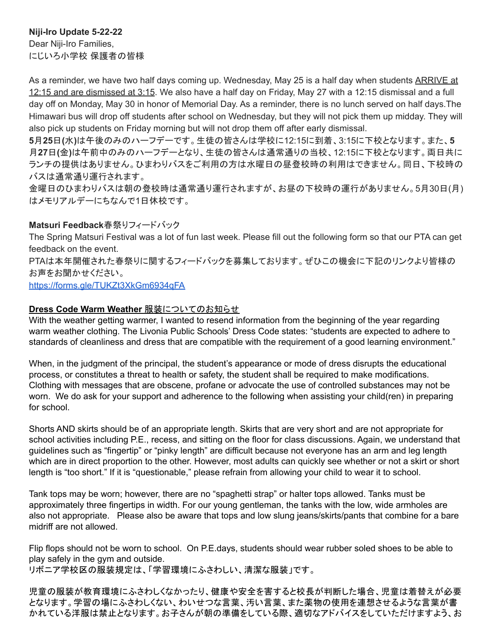## **Niji-Iro Update 5-22-22**

Dear Niji-Iro Families, にじいろ小学校 保護者の皆様

As a reminder, we have two half days coming up. Wednesday, May 25 is a half day when students ARRIVE at 12:15 and are dismissed at 3:15. We also have a half day on Friday, May 27 with a 12:15 dismissal and a full day off on Monday, May 30 in honor of Memorial Day. As a reminder, there is no lunch served on half days.The Himawari bus will drop off students after school on Wednesday, but they will not pick them up midday. They will also pick up students on Friday morning but will not drop them off after early dismissal.

**5**月**25**日**(**水**)**は午後のみのハーフデーです。生徒の皆さんは学校に12:15に到着、3:15に下校となります。また、**5** 月**27**日**(**金**)**は午前中のみのハーフデーとなり、生徒の皆さんは通常通りの当校、12:15に下校となります。両日共に ランチの提供はありません。ひまわりバスをご利用の方は水曜日の昼登校時の利用はできません。同日、下校時の バスは通常通り運行されます。

金曜日のひまわりバスは朝の登校時は通常通り運行されますが、お昼の下校時の運行がありません。5月30日(月) はメモリアルデーにちなんで1日休校です。

### **Matsuri Feedback**春祭りフィードバック

The Spring Matsuri Festival was a lot of fun last week. Please fill out the following form so that our PTA can get feedback on the event.

PTAは本年開催された春祭りに関するフィードバックを募集しております。ぜひこの機会に下記のリンクより皆様の お声をお聞かせください。

<https://forms.gle/TUKZt3XkGm6934qFA>

### **Dress Code Warm Weather** 服装についてのお知らせ

With the weather getting warmer, I wanted to resend information from the beginning of the year regarding warm weather clothing. The Livonia Public Schools' Dress Code states: "students are expected to adhere to standards of cleanliness and dress that are compatible with the requirement of a good learning environment."

When, in the judgment of the principal, the student's appearance or mode of dress disrupts the educational process, or constitutes a threat to health or safety, the student shall be required to make modifications. Clothing with messages that are obscene, profane or advocate the use of controlled substances may not be worn. We do ask for your support and adherence to the following when assisting your child(ren) in preparing for school.

Shorts AND skirts should be of an appropriate length. Skirts that are very short and are not appropriate for school activities including P.E., recess, and sitting on the floor for class discussions. Again, we understand that guidelines such as "fingertip" or "pinky length" are difficult because not everyone has an arm and leg length which are in direct proportion to the other. However, most adults can quickly see whether or not a skirt or short length is "too short." If it is "questionable," please refrain from allowing your child to wear it to school.

Tank tops may be worn; however, there are no "spaghetti strap" or halter tops allowed. Tanks must be approximately three fingertips in width. For our young gentleman, the tanks with the low, wide armholes are also not appropriate. Please also be aware that tops and low slung jeans/skirts/pants that combine for a bare midriff are not allowed.

Flip flops should not be worn to school. On P.E.days, students should wear rubber soled shoes to be able to play safely in the gym and outside. リボニア学校区の服装規定は、「学習環境にふさわしい、清潔な服装」です。

児童の服装が教育環境にふさわしくなかったり、健康や安全を害すると校長が判断した場合、児童は着替えが必要 となります。学習の場にふさわしくない、わいせつな言葉、汚い言葉、また薬物の使用を連想させるような言葉が書 かれている洋服は禁止となります。お子さんが朝の準備をしている際、適切なアドバイスをしていただけますよう、お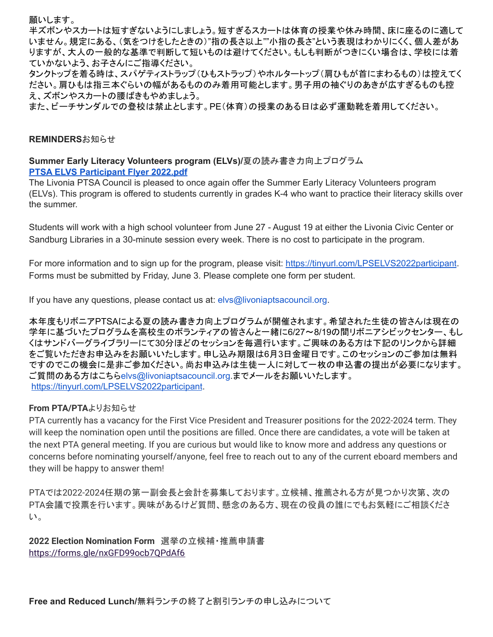願いします。

半ズボンやスカートは短すぎないようにしましょう。短すぎるスカートは体育の授業や休み時間、床に座るのに適して いません。規定にある、(気をつけをしたときの)"指の長さ以上""小指の長さ"という表現はわかりにくく、個人差があ りますが、大人の一般的な基準で判断して短いものは避けてください。もしも判断がつきにくい場合は、学校には着 ていかないよう、お子さんにご指導ください。

タンクトップを着る時は、スパゲティストラップ(ひもストラップ)やホルタートップ(肩ひもが首にまわるもの)は控えてく ださい。肩ひもは指三本ぐらいの幅があるもののみ着用可能とします。男子用の袖ぐりのあきが広すぎるものも控 え、ズボンやスカートの腰ばきもやめましょう。

また、ビーチサンダルでの登校は禁止とします。PE(体育)の授業のある日は必ず運動靴を着用してください。

#### **REMINDERS**お知らせ

**Summer Early Literacy Volunteers program (ELVs)/**夏の読み書き力向上プログラム **PTSA ELVS [Participant](http://track.spe.schoolmessenger.com/f/a/yo3N9fkbjL0h0aeV7B1ImQ~~/AAAAAQA~/RgRkX8J8P0R1aHR0cHM6Ly9tc2cuc2Nob29sbWVzc2VuZ2VyLmNvbS9tLz9zPW42NktrSFFxR1dnJm1hbD1iYmY1ZDg1MWFkODdlODFiNGNmZDA3NGZiOTc4ZTY3YmU0ODJiNjU0ZDczMmE3MmQxZDczZTk5YmFjZjc0NzM5VwdzY2hvb2xtQgpib_yOfmL6Y-izUiBsZGVsdWNhQGxpdm9uaWFwdWJsaWNzY2hvb2xzLm9yZ1gEAAAAAQ~~) Flyer 2022.pdf**

The Livonia PTSA Council is pleased to once again offer the Summer Early Literacy Volunteers program (ELVs). This program is offered to students currently in grades K-4 who want to practice their literacy skills over the summer.

Students will work with a high school volunteer from June 27 - August 19 at either the Livonia Civic Center or Sandburg Libraries in a 30-minute session every week. There is no cost to participate in the program.

For more information and to sign up for the program, please visit: <https://tinyurl.com/LPSELVS2022participant>. Forms must be submitted by Friday, June 3. Please complete one form per student.

If you have any questions, please contact us at: elvs@livoniaptsacouncil.org.

本年度もリボニアPTSAによる夏の読み書き力向上プログラムが開催されます。希望された生徒の皆さんは現在の 学年に基づいたプログラムを高校生のボランティアの皆さんと一緒に6/27~8/19の間リボニアシビックセンター、もし くはサンドバーグライブラリーにて30分ほどのセッションを毎週行います。ご興味のある方は下記のリンクから詳細 をご覧いただきお申込みをお願いいたします。申し込み期限は6月3日金曜日です。このセッションのご参加は無料 ですのでこの機会に是非ご参加ください。尚お申込みは生徒一人に対して一枚の申込書の提出が必要になります。 ご質問のある方はこちらelvs@livoniaptsacouncil.org.までメールをお願いいたします。 <https://tinyurl.com/LPSELVS2022participant>.

#### **From PTA/PTA**よりお知らせ

PTA currently has a vacancy for the First Vice President and Treasurer positions for the 2022-2024 term. They will keep the nomination open until the positions are filled. Once there are candidates, a vote will be taken at the next PTA general meeting. If you are curious but would like to know more and address any questions or concerns before nominating yourself/anyone, feel free to reach out to any of the current eboard members and they will be happy to answer them!

PTAでは2022‐2024任期の第一副会長と会計を募集しております。立候補、推薦される方が見つかり次第、次の PTA会議で投票を行います。興味があるけど質問、懸念のある方、現在の役員の誰にでもお気軽にご相談くださ い。

**2022 Election Nomination Form** 選挙の立候補・推薦申請書 <https://forms.gle/nxGFD99ocb7QPdAf6>

**Free and Reduced Lunch/**無料ランチの終了と割引ランチの申し込みについて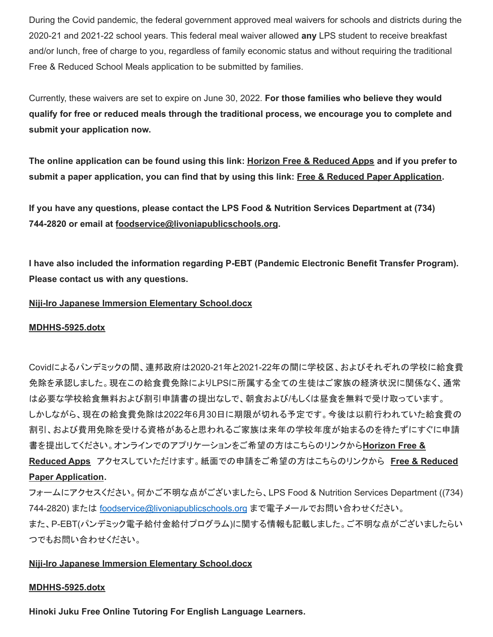During the Covid pandemic, the federal government approved meal waivers for schools and districts during the 2020-21 and 2021-22 school years. This federal meal waiver allowed **any** LPS student to receive breakfast and/or lunch, free of charge to you, regardless of family economic status and without requiring the traditional Free & Reduced School Meals application to be submitted by families.

Currently, these waivers are set to expire on June 30, 2022. **For those families who believe they would qualify for free or reduced meals through the traditional process, we encourage you to complete and submit your application now.**

The online application can be found using this link: Horizon Free & [Reduced](http://track.spe.schoolmessenger.com/f/a/wJG7soAPgv5Bd1k_GxHYTw~~/AAAAAQA~/RgRkVpzhP0QoaHR0cHM6Ly9mcmFwcHMuaG9yaXpvbnNvbGFuYS5jb20vd2VsY29tZVcHc2Nob29sbUIKYnBhaXViAVMeyFIgbGRlbHVjYUBsaXZvbmlhcHVibGljc2Nob29scy5vcmdYBAAAAAE~) Apps and if you prefer to submit a paper application, you can find that by using this link: Free & Reduced Paper [Application](http://track.spe.schoolmessenger.com/f/a/qHI_l2BxqEP4UIcylJbiKQ~~/AAAAAQA~/RgRkVpzhP0SWaHR0cHM6Ly93d3cubGl2b25pYXB1YmxpY3NjaG9vbHMub3JnL2Ntcy9saWIvTUk1MDAwMDQ1MS9DZW50cmljaXR5L0RvbWFpbi8yNTEvMjAyMS0yMiUyMExQUyUyMEZyZWVfYW5kX1JlZHVjZWQtcHJpY2VfYXBwbGljYXRpb25fNjUzNzg1XzclMjAwNzEyMjEucGRmVwdzY2hvb2xtQgpicGFpdWIBUx7IUiBsZGVsdWNhQGxpdm9uaWFwdWJsaWNzY2hvb2xzLm9yZ1gEAAAAAQ~~).

**If you have any questions, please contact the LPS Food & Nutrition Services Department at (734) 744-2820 or email at [foodservice@livoniapublicschools.org](mailto:foodservice@livoniapublicschools.org).**

**I have also included the information regarding P-EBT (Pandemic Electronic Benefit Transfer Program). Please contact us with any questions.**

#### **Niji-Iro Japanese Immersion Elementary [School.docx](http://track.spe.schoolmessenger.com/f/a/X1KgkwqwD7uKvzi8WArg6w~~/AAAAAQA~/RgRkWoTVP0R1aHR0cHM6Ly9tc2cuc2Nob29sbWVzc2VuZ2VyLmNvbS9tLz9zPW1ZMHBkWDRDVDlFJm1hbD05YWFiMTk3OGQ3ZjE4NmJhOTczYmI1MzQ0NjM4MGMxMzg5ODFlNWJjNTMxMzIyZTYxZDk0MjY5NWUzNWI2YzQyVwdzY2hvb2xtQgpib1VReWL_mPnRUiBsZGVsdWNhQGxpdm9uaWFwdWJsaWNzY2hvb2xzLm9yZ1gEAAAAAQ~~)**

#### **[MDHHS-5925.dotx](http://track.spe.schoolmessenger.com/f/a/7TMlFDvOxH7u2YKLxl3LMA~~/AAAAAQA~/RgRkWoTVP4RHAWh0dHA6Ly90cmFjay5zcGUuc2Nob29sbWVzc2VuZ2VyLmNvbS9mL2EveVBFaW03MXNtbHNOOEt1SXVWOE4wUX5-L0FBQUFBUUF-L1JnUmtXa3dGUDBSMWFIUjBjSE02THk5dGMyY3VjMk5vYjI5c2JXVnpjMlZ1WjJWeUxtTnZiUzl0THo5elBXWkVhRzFwZVVvMlUxTkpKbTFoYkQweFpXTm1abVZqTlRabU1HRTFNVE0wTjJZNFlUTTNZbVZrWXprek5HTTBNMlZrWVdRM056UTFOR1l4TVRBMFpUZzNNVGd5TkRnelpqUTROelU0TnpVMVZ3ZHpZMmh2YjJ4dFFncGljSVVZZVdJQlU0UDRVaUJzWkdWc2RXTmhRR3hwZG05dWFXRndkV0pzYVdOelkyaHZiMnh6TG05eVoxZ0VBQUFBQVF-flcHc2Nob29sbUIKYm9VUXli_5j50VIgbGRlbHVjYUBsaXZvbmlhcHVibGljc2Nob29scy5vcmdYBAAAAAE~)**

Covidによるパンデミックの間、連邦政府は2020-21年と2021-22年の間に学校区、およびそれぞれの学校に給食費 免除を承認しました。現在この給食費免除によりLPSに所属する全ての生徒はご家族の経済状況に関係なく、通常 は必要な学校給食無料および割引申請書の提出なしで、朝食および/もしくは昼食を無料で受け取っています。 しかしながら、現在の給食費免除は2022年6月30日に期限が切れる予定です。今後は以前行われていた給食費の 割引、および費用免除を受ける資格があると思われるご家族は来年の学校年度が始まるのを待たずにすぐに申請 書を提出してください。オンラインでのアプリケーションをご希望の方はこちらのリンクから**[Horizon](http://track.spe.schoolmessenger.com/f/a/wJG7soAPgv5Bd1k_GxHYTw~~/AAAAAQA~/RgRkVpzhP0QoaHR0cHM6Ly9mcmFwcHMuaG9yaXpvbnNvbGFuYS5jb20vd2VsY29tZVcHc2Nob29sbUIKYnBhaXViAVMeyFIgbGRlbHVjYUBsaXZvbmlhcHVibGljc2Nob29scy5vcmdYBAAAAAE~) Free &**

**[Reduced](http://track.spe.schoolmessenger.com/f/a/wJG7soAPgv5Bd1k_GxHYTw~~/AAAAAQA~/RgRkVpzhP0QoaHR0cHM6Ly9mcmFwcHMuaG9yaXpvbnNvbGFuYS5jb20vd2VsY29tZVcHc2Nob29sbUIKYnBhaXViAVMeyFIgbGRlbHVjYUBsaXZvbmlhcHVibGljc2Nob29scy5vcmdYBAAAAAE~) Apps** アクセスしていただけます。紙面での申請をご希望の方はこちらのリンクから **Free & [Reduced](http://track.spe.schoolmessenger.com/f/a/qHI_l2BxqEP4UIcylJbiKQ~~/AAAAAQA~/RgRkVpzhP0SWaHR0cHM6Ly93d3cubGl2b25pYXB1YmxpY3NjaG9vbHMub3JnL2Ntcy9saWIvTUk1MDAwMDQ1MS9DZW50cmljaXR5L0RvbWFpbi8yNTEvMjAyMS0yMiUyMExQUyUyMEZyZWVfYW5kX1JlZHVjZWQtcHJpY2VfYXBwbGljYXRpb25fNjUzNzg1XzclMjAwNzEyMjEucGRmVwdzY2hvb2xtQgpicGFpdWIBUx7IUiBsZGVsdWNhQGxpdm9uaWFwdWJsaWNzY2hvb2xzLm9yZ1gEAAAAAQ~~) Paper [Application](http://track.spe.schoolmessenger.com/f/a/qHI_l2BxqEP4UIcylJbiKQ~~/AAAAAQA~/RgRkVpzhP0SWaHR0cHM6Ly93d3cubGl2b25pYXB1YmxpY3NjaG9vbHMub3JnL2Ntcy9saWIvTUk1MDAwMDQ1MS9DZW50cmljaXR5L0RvbWFpbi8yNTEvMjAyMS0yMiUyMExQUyUyMEZyZWVfYW5kX1JlZHVjZWQtcHJpY2VfYXBwbGljYXRpb25fNjUzNzg1XzclMjAwNzEyMjEucGRmVwdzY2hvb2xtQgpicGFpdWIBUx7IUiBsZGVsdWNhQGxpdm9uaWFwdWJsaWNzY2hvb2xzLm9yZ1gEAAAAAQ~~).**

フォームにアクセスください。何かご不明な点がございましたら、LPS Food & Nutrition Services Department ((734) 744-2820) または foodservice@livoniapublicschools.org まで電子メールでお問い合わせください。 また、P-EBT(パンデミック電子給付金給付プログラム)に関する情報も記載しました。ご不明な点がございましたらい つでもお問い合わせください。

### **Niji-Iro Japanese Immersion Elementary [School.docx](http://track.spe.schoolmessenger.com/f/a/X1KgkwqwD7uKvzi8WArg6w~~/AAAAAQA~/RgRkWoTVP0R1aHR0cHM6Ly9tc2cuc2Nob29sbWVzc2VuZ2VyLmNvbS9tLz9zPW1ZMHBkWDRDVDlFJm1hbD05YWFiMTk3OGQ3ZjE4NmJhOTczYmI1MzQ0NjM4MGMxMzg5ODFlNWJjNTMxMzIyZTYxZDk0MjY5NWUzNWI2YzQyVwdzY2hvb2xtQgpib1VReWL_mPnRUiBsZGVsdWNhQGxpdm9uaWFwdWJsaWNzY2hvb2xzLm9yZ1gEAAAAAQ~~)**

#### **[MDHHS-5925.dotx](http://track.spe.schoolmessenger.com/f/a/7TMlFDvOxH7u2YKLxl3LMA~~/AAAAAQA~/RgRkWoTVP4RHAWh0dHA6Ly90cmFjay5zcGUuc2Nob29sbWVzc2VuZ2VyLmNvbS9mL2EveVBFaW03MXNtbHNOOEt1SXVWOE4wUX5-L0FBQUFBUUF-L1JnUmtXa3dGUDBSMWFIUjBjSE02THk5dGMyY3VjMk5vYjI5c2JXVnpjMlZ1WjJWeUxtTnZiUzl0THo5elBXWkVhRzFwZVVvMlUxTkpKbTFoYkQweFpXTm1abVZqTlRabU1HRTFNVE0wTjJZNFlUTTNZbVZrWXprek5HTTBNMlZrWVdRM056UTFOR1l4TVRBMFpUZzNNVGd5TkRnelpqUTROelU0TnpVMVZ3ZHpZMmh2YjJ4dFFncGljSVVZZVdJQlU0UDRVaUJzWkdWc2RXTmhRR3hwZG05dWFXRndkV0pzYVdOelkyaHZiMnh6TG05eVoxZ0VBQUFBQVF-flcHc2Nob29sbUIKYm9VUXli_5j50VIgbGRlbHVjYUBsaXZvbmlhcHVibGljc2Nob29scy5vcmdYBAAAAAE~)**

**Hinoki Juku Free Online Tutoring For English Language Learners.**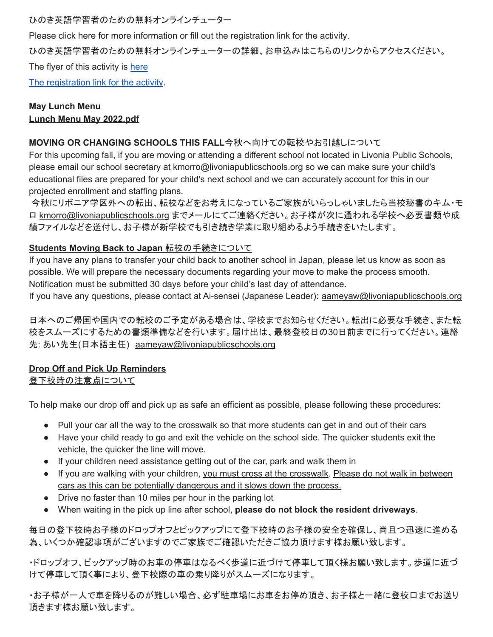ひのき英語学習者のための無料オンラインチューター

Please click [here](https://drive.google.com/file/d/1mQuWps-in8TTfgn5GFKIm5bKv8u5lmfc/view) for more information or fill out the [registration](https://forms.gle/wS7JTewaFBSw7Vw57) link for the activity.

## ひのき英語学習者のための無料オンラインチューターの詳細、お申込みはこちらのリンクからアクセスください。

The flyer of this activity is [here](https://drive.google.com/file/d/1mQuWps-in8TTfgn5GFKIm5bKv8u5lmfc/view)

The [registration](https://forms.gle/wS7JTewaFBSw7Vw57) link for the activity.

## **May Lunch Menu Lunch Menu May [2022.pdf](http://track.spe.schoolmessenger.com/f/a/Gy8Pz8aV9KMZY0PjsLbLeg~~/AAAAAQA~/RgRkS_3EP0R1aHR0cHM6Ly9tc2cuc2Nob29sbWVzc2VuZ2VyLmNvbS9tLz9zPUNoMjk2S1gxSmZ3Jm1hbD00ZDY2NTVhMDg3MTczOGMxZWRhYTgxOTFlMjE0MDgyYmM1NWRhZTU1NmNjN2Q1OGE2MmQ2OTExODUyYzMxYWViVwdzY2hvb2xtQgpiYUTKamLEFFghUiBsZGVsdWNhQGxpdm9uaWFwdWJsaWNzY2hvb2xzLm9yZ1gEAAAAAQ~~)**

#### **MOVING OR CHANGING SCHOOLS THIS FALL**今秋へ向けての転校やお引越しについて

For this upcoming fall, if you are moving or attending a different school not located in Livonia Public Schools, please email our school secretary at [kmorro@livoniapublicschools.org](mailto:kmorro@livoniapublicschools.org) so we can make sure your child's educational files are prepared for your child's next school and we can accurately account for this in our projected enrollment and staffing plans.

今秋にリボニア学区外への転出、転校などをお考えになっているご家族がいらっしゃいましたら当校秘書のキム・モ ロ [kmorro@livoniapublicschools.org](mailto:kmorro@livoniapublicschools.org) までメールにてご連絡ください。お子様が次に通われる学校へ必要書類や成 績ファイルなどを送付し、お子様が新学校でも引き続き学業に取り組めるよう手続きをいたします。

### **Students Moving Back to Japan** 転校の手続きについて

If you have any plans to transfer your child back to another school in Japan, please let us know as soon as possible. We will prepare the necessary documents regarding your move to make the process smooth. Notification must be submitted 30 days before your child's last day of attendance.

If you have any questions, please contact at Ai-sensei (Japanese Leader): [aameyaw@livoniapublicschools.org](mailto:aameyaw@livoniapublicschools.org)

日本へのご帰国や国内での転校のご予定がある場合は、学校までお知らせください。転出に必要な手続き、また転 校をスムーズにするための書類準備などを行います。届け出は、最終登校日の30日前までに行ってください。連絡 先: あい先生(日本語主任) [aameyaw@livoniapublicschools.org](mailto:aameyaw@livoniapublicschools.org)

### **Drop Off and Pick Up Reminders**

# 登下校時の注意点について

To help make our drop off and pick up as safe an efficient as possible, please following these procedures:

- Pull your car all the way to the crosswalk so that more students can get in and out of their cars
- Have your child ready to go and exit the vehicle on the school side. The quicker students exit the vehicle, the quicker the line will move.
- If your children need assistance getting out of the car, park and walk them in
- If you are walking with your children, you must cross at the crosswalk. Please do not walk in between cars as this can be potentially dangerous and it slows down the process.
- Drive no faster than 10 miles per hour in the parking lot
- When waiting in the pick up line after school, **please do not block the resident driveways**.

毎日の登下校時お子様のドロップオフとピックアップにて登下校時のお子様の安全を確保し、尚且つ迅速に進める 為、いくつか確認事項がございますのでご家族でご確認いただきご協力頂けます様お願い致します。

・ドロップオフ、ピックアップ時のお車の停車はなるべく歩道に近づけて停車して頂く様お願い致します。歩道に近づ けて停車して頂く事により、登下校際の車の乗り降りがスムーズになります。

・お子様が一人で車を降りるのが難しい場合、必ず駐車場にお車をお停め頂き、お子様と一緒に登校口までお送り 頂きます様お願い致します。